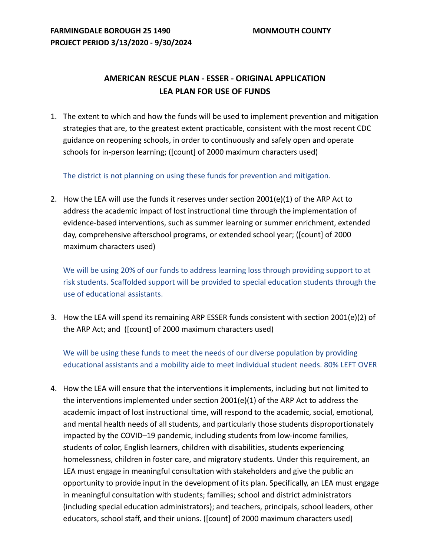## **AMERICAN RESCUE PLAN - ESSER - ORIGINAL APPLICATION LEA PLAN FOR USE OF FUNDS**

1. The extent to which and how the funds will be used to implement prevention and mitigation strategies that are, to the greatest extent practicable, consistent with the most recent CDC guidance on reopening schools, in order to continuously and safely open and operate schools for in-person learning; ([count] of 2000 maximum characters used)

The district is not planning on using these funds for prevention and mitigation.

2. How the LEA will use the funds it reserves under section  $2001(e)(1)$  of the ARP Act to address the academic impact of lost instructional time through the implementation of evidence-based interventions, such as summer learning or summer enrichment, extended day, comprehensive afterschool programs, or extended school year; ([count] of 2000 maximum characters used)

We will be using 20% of our funds to address learning loss through providing support to at risk students. Scaffolded support will be provided to special education students through the use of educational assistants.

3. How the LEA will spend its remaining ARP ESSER funds consistent with section 2001(e)(2) of the ARP Act; and ([count] of 2000 maximum characters used)

We will be using these funds to meet the needs of our diverse population by providing educational assistants and a mobility aide to meet individual student needs. 80% LEFT OVER

4. How the LEA will ensure that the interventions it implements, including but not limited to the interventions implemented under section 2001(e)(1) of the ARP Act to address the academic impact of lost instructional time, will respond to the academic, social, emotional, and mental health needs of all students, and particularly those students disproportionately impacted by the COVID–19 pandemic, including students from low-income families, students of color, English learners, children with disabilities, students experiencing homelessness, children in foster care, and migratory students. Under this requirement, an LEA must engage in meaningful consultation with stakeholders and give the public an opportunity to provide input in the development of its plan. Specifically, an LEA must engage in meaningful consultation with students; families; school and district administrators (including special education administrators); and teachers, principals, school leaders, other educators, school staff, and their unions. ([count] of 2000 maximum characters used)